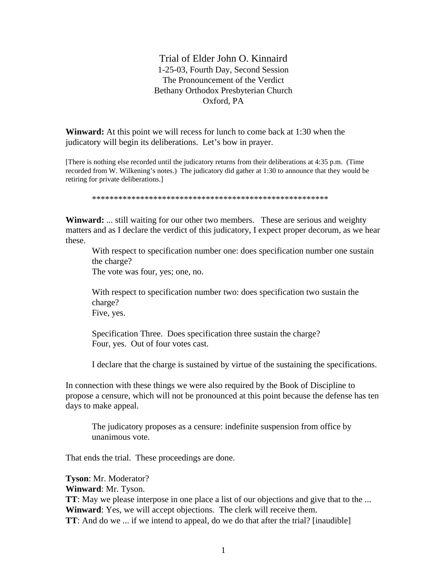Trial of Elder John O. Kinnaird 1-25-03, Fourth Day, Second Session The Pronouncement of the Verdict Bethany Orthodox Presbyterian Church Oxford, PA

**Winward:** At this point we will recess for lunch to come back at 1:30 when the judicatory will begin its deliberations. Let's bow in prayer.

[There is nothing else recorded until the judicatory returns from their deliberations at 4:35 p.m. (Time recorded from W. Wilkening's notes.) The judicatory did gather at 1:30 to announce that they would be retiring for private deliberations.]

\*\*\*\*\*\*\*\*\*\*\*\*\*\*\*\*\*\*\*\*\*\*\*\*\*\*\*\*\*\*\*\*\*\*\*\*\*\*\*\*\*\*\*\*\*\*\*\*\*\*\*\*\*\*

**Winward:** ... still waiting for our other two members. These are serious and weighty matters and as I declare the verdict of this judicatory, I expect proper decorum, as we hear these.

With respect to specification number one: does specification number one sustain the charge?

The vote was four, yes; one, no.

With respect to specification number two: does specification two sustain the charge? Five, yes.

Specification Three. Does specification three sustain the charge? Four, yes. Out of four votes cast.

I declare that the charge is sustained by virtue of the sustaining the specifications.

In connection with these things we were also required by the Book of Discipline to propose a censure, which will not be pronounced at this point because the defense has ten days to make appeal.

The judicatory proposes as a censure: indefinite suspension from office by unanimous vote.

That ends the trial. These proceedings are done.

**Tyson**: Mr. Moderator?

**Winward**: Mr. Tyson.

**TT**: May we please interpose in one place a list of our objections and give that to the ... **Winward**: Yes, we will accept objections. The clerk will receive them. **TT**: And do we ... if we intend to appeal, do we do that after the trial? [inaudible]